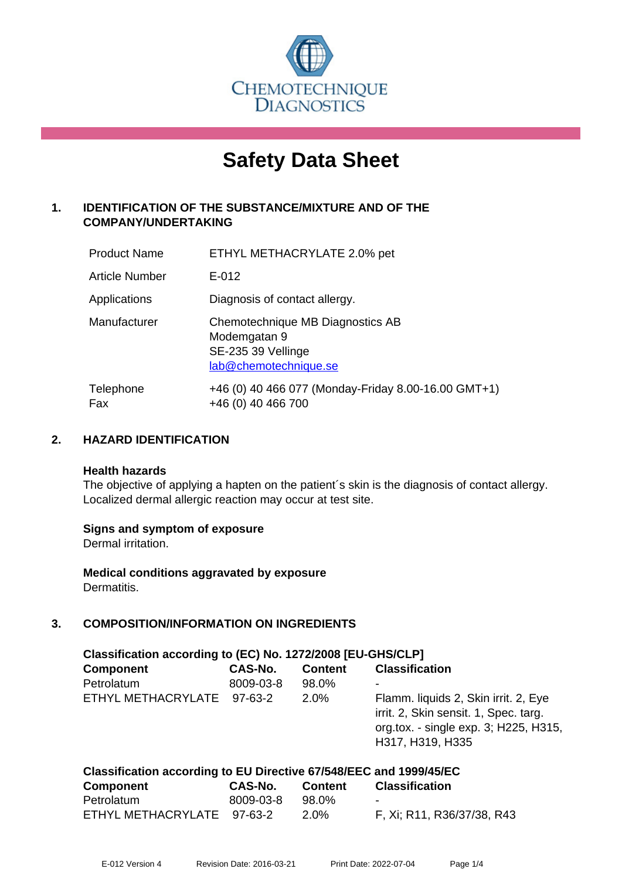

# **Safety Data Sheet**

# **1. IDENTIFICATION OF THE SUBSTANCE/MIXTURE AND OF THE COMPANY/UNDERTAKING**

| <b>Product Name</b> | ETHYL METHACRYLATE 2.0% pet                                                                     |
|---------------------|-------------------------------------------------------------------------------------------------|
| Article Number      | $E - 012$                                                                                       |
| Applications        | Diagnosis of contact allergy.                                                                   |
| Manufacturer        | Chemotechnique MB Diagnostics AB<br>Modemgatan 9<br>SE-235 39 Vellinge<br>lab@chemotechnique.se |
| Telephone<br>Fax    | +46 (0) 40 466 077 (Monday-Friday 8.00-16.00 GMT+1)<br>+46 (0) 40 466 700                       |

# **2. HAZARD IDENTIFICATION**

#### **Health hazards**

The objective of applying a hapten on the patient's skin is the diagnosis of contact allergy. Localized dermal allergic reaction may occur at test site.

#### **Signs and symptom of exposure**

Dermal irritation.

**Medical conditions aggravated by exposure** Dermatitis.

# **3. COMPOSITION/INFORMATION ON INGREDIENTS**

| Classification according to (EC) No. 1272/2008 [EU-GHS/CLP]        |           |                |                                                                                                                                            |  |
|--------------------------------------------------------------------|-----------|----------------|--------------------------------------------------------------------------------------------------------------------------------------------|--|
| <b>Component</b>                                                   | CAS-No.   | <b>Content</b> | <b>Classification</b>                                                                                                                      |  |
| Petrolatum                                                         | 8009-03-8 | 98.0%          |                                                                                                                                            |  |
| ETHYL METHACRYLATE 97-63-2                                         |           | $2.0\%$        | Flamm. liquids 2, Skin irrit. 2, Eye<br>irrit. 2, Skin sensit. 1, Spec. targ.<br>org.tox. - single exp. 3; H225, H315,<br>H317, H319, H335 |  |
| Classification according to EU Directive 67/548/EEC and 1999/45/EC |           |                |                                                                                                                                            |  |

| <b>Component</b>           | CAS-No.   | Content | Classification             |
|----------------------------|-----------|---------|----------------------------|
| Petrolatum                 | 8009-03-8 | 98.0%   | $\sim$                     |
| ETHYL METHACRYLATE 97-63-2 |           | 2.0%    | F, Xi; R11, R36/37/38, R43 |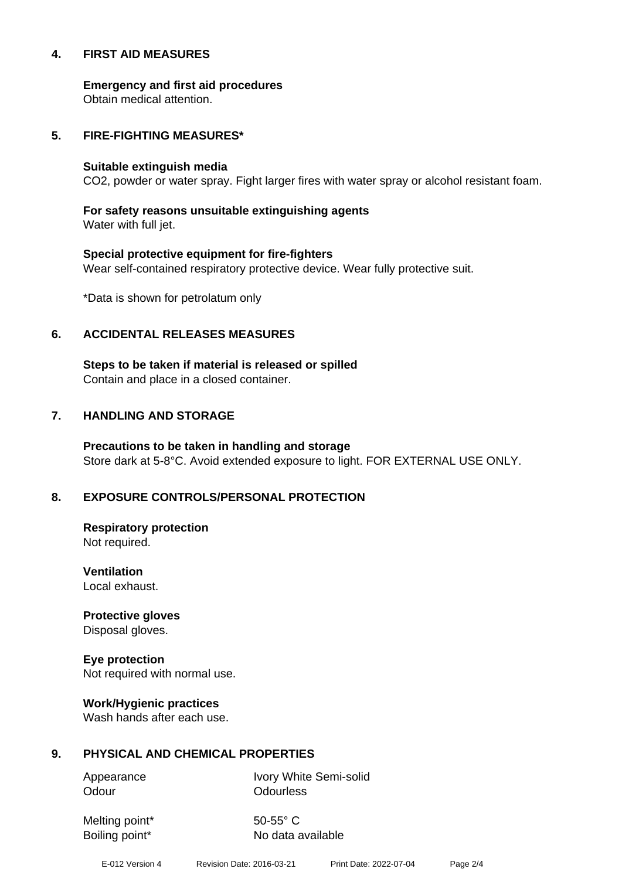#### **4. FIRST AID MEASURES**

**Emergency and first aid procedures**

Obtain medical attention.

#### **5. FIRE-FIGHTING MEASURES\***

#### **Suitable extinguish media**

CO2, powder or water spray. Fight larger fires with water spray or alcohol resistant foam.

# **For safety reasons unsuitable extinguishing agents**

Water with full jet.

# **Special protective equipment for fire-fighters** Wear self-contained respiratory protective device. Wear fully protective suit.

\*Data is shown for petrolatum only

# **6. ACCIDENTAL RELEASES MEASURES**

**Steps to be taken if material is released or spilled** Contain and place in a closed container.

# **7. HANDLING AND STORAGE**

**Precautions to be taken in handling and storage** Store dark at 5-8°C. Avoid extended exposure to light. FOR EXTERNAL USE ONLY.

# **8. EXPOSURE CONTROLS/PERSONAL PROTECTION**

**Respiratory protection** Not required.

**Ventilation** Local exhaust.

**Protective gloves** Disposal gloves.

# **Eye protection**

Not required with normal use.

#### **Work/Hygienic practices**

Wash hands after each use.

#### **9. PHYSICAL AND CHEMICAL PROPERTIES**

Odour **Odourless** 

Appearance Ivory White Semi-solid

Melting point\* 50-55° C

Boiling point\* No data available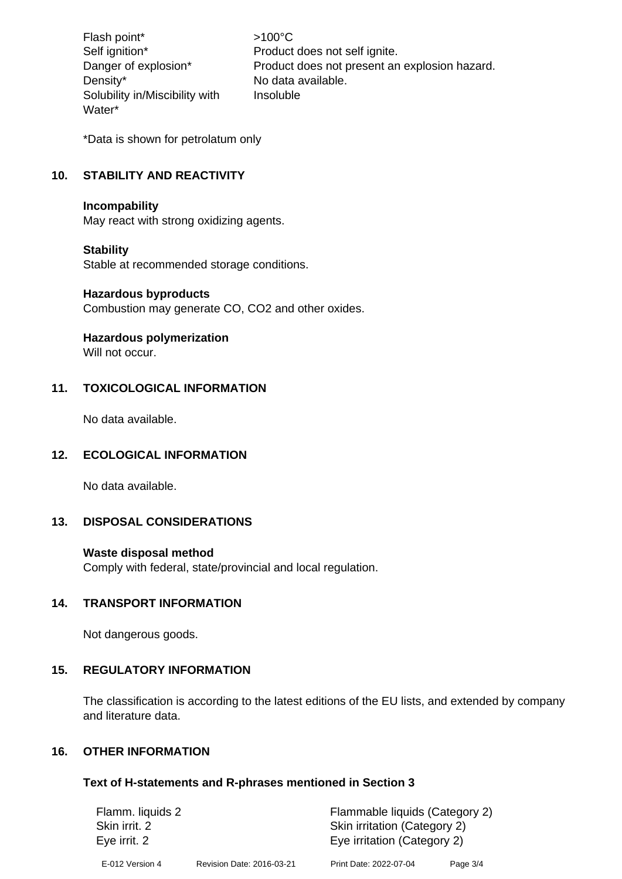Flash point\*  $>100^{\circ}$ C Density\* No data available. Solubility in/Miscibility with Water\*

Self ignition\* Product does not self ignite. Danger of explosion\* Product does not present an explosion hazard. Insoluble

\*Data is shown for petrolatum only

# **10. STABILITY AND REACTIVITY**

#### **Incompability**

May react with strong oxidizing agents.

#### **Stability**

Stable at recommended storage conditions.

#### **Hazardous byproducts**

Combustion may generate CO, CO2 and other oxides.

#### **Hazardous polymerization**

Will not occur.

# **11. TOXICOLOGICAL INFORMATION**

No data available.

#### **12. ECOLOGICAL INFORMATION**

No data available.

#### **13. DISPOSAL CONSIDERATIONS**

#### **Waste disposal method**

Comply with federal, state/provincial and local regulation.

#### **14. TRANSPORT INFORMATION**

Not dangerous goods.

#### **15. REGULATORY INFORMATION**

The classification is according to the latest editions of the EU lists, and extended by company and literature data.

# **16. OTHER INFORMATION**

#### **Text of H-statements and R-phrases mentioned in Section 3**

| Flamm. liquids 2 |                           | Flammable liquids (Category 2) |          |  |
|------------------|---------------------------|--------------------------------|----------|--|
| Skin irrit. 2    |                           | Skin irritation (Category 2)   |          |  |
| Eye irrit. 2     |                           | Eye irritation (Category 2)    |          |  |
| E-012 Version 4  | Revision Date: 2016-03-21 | Print Date: 2022-07-04         | Page 3/4 |  |